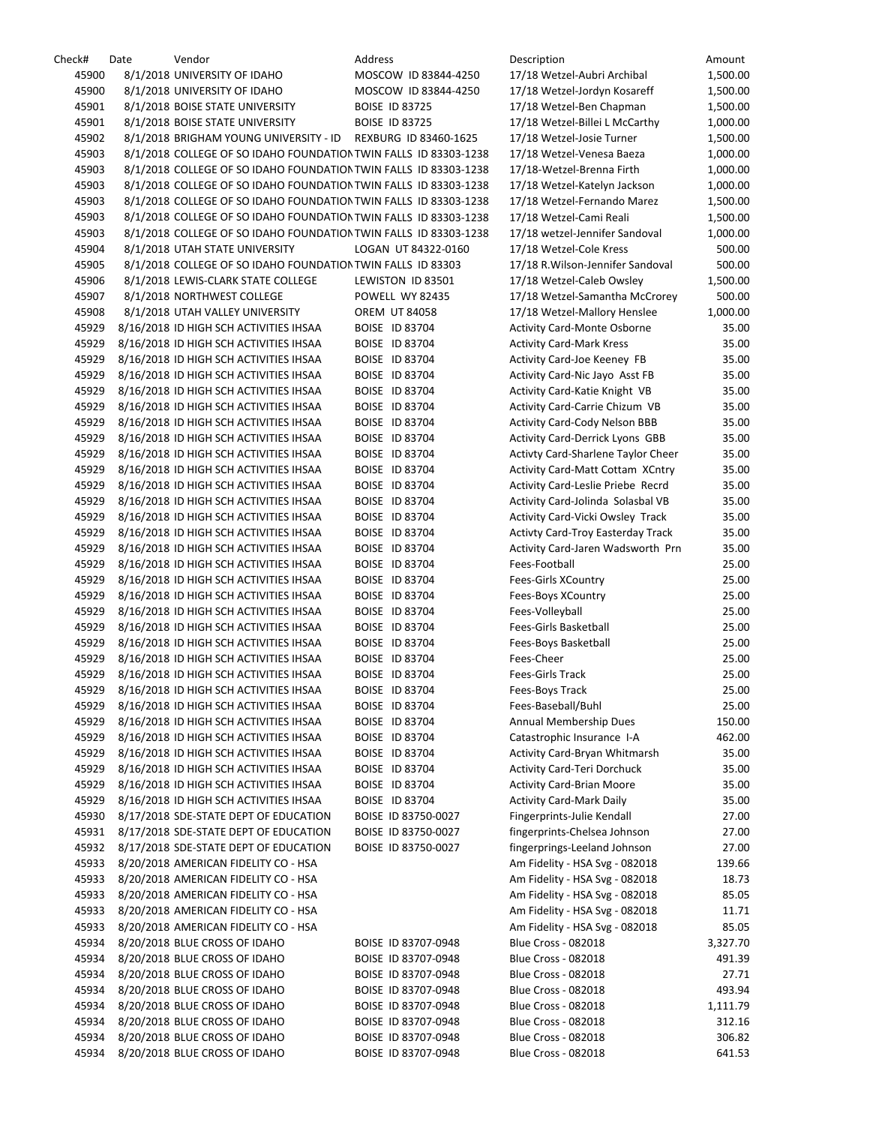| Check# | Date | Vendor                                                           | Address               | Description                             | Amount   |
|--------|------|------------------------------------------------------------------|-----------------------|-----------------------------------------|----------|
| 45900  |      | 8/1/2018 UNIVERSITY OF IDAHO                                     | MOSCOW ID 83844-4250  | 17/18 Wetzel-Aubri Archibal             | 1,500.00 |
| 45900  |      | 8/1/2018 UNIVERSITY OF IDAHO                                     | MOSCOW ID 83844-4250  | 17/18 Wetzel-Jordyn Kosareff            | 1,500.00 |
| 45901  |      | 8/1/2018 BOISE STATE UNIVERSITY                                  | <b>BOISE ID 83725</b> | 17/18 Wetzel-Ben Chapman                | 1,500.00 |
| 45901  |      | 8/1/2018 BOISE STATE UNIVERSITY                                  | <b>BOISE ID 83725</b> | 17/18 Wetzel-Billei L McCarthy          | 1,000.00 |
| 45902  |      | 8/1/2018 BRIGHAM YOUNG UNIVERSITY - ID REXBURG ID 83460-1625     |                       | 17/18 Wetzel-Josie Turner               | 1,500.00 |
| 45903  |      | 8/1/2018 COLLEGE OF SO IDAHO FOUNDATION TWIN FALLS ID 83303-1238 |                       | 17/18 Wetzel-Venesa Baeza               | 1,000.00 |
|        |      |                                                                  |                       |                                         |          |
| 45903  |      | 8/1/2018 COLLEGE OF SO IDAHO FOUNDATION TWIN FALLS ID 83303-1238 |                       | 17/18-Wetzel-Brenna Firth               | 1,000.00 |
| 45903  |      | 8/1/2018 COLLEGE OF SO IDAHO FOUNDATION TWIN FALLS ID 83303-1238 |                       | 17/18 Wetzel-Katelyn Jackson            | 1,000.00 |
| 45903  |      | 8/1/2018 COLLEGE OF SO IDAHO FOUNDATION TWIN FALLS ID 83303-1238 |                       | 17/18 Wetzel-Fernando Marez             | 1,500.00 |
| 45903  |      | 8/1/2018 COLLEGE OF SO IDAHO FOUNDATION TWIN FALLS ID 83303-1238 |                       | 17/18 Wetzel-Cami Reali                 | 1,500.00 |
| 45903  |      | 8/1/2018 COLLEGE OF SO IDAHO FOUNDATION TWIN FALLS ID 83303-1238 |                       | 17/18 wetzel-Jennifer Sandoval          | 1,000.00 |
| 45904  |      | 8/1/2018 UTAH STATE UNIVERSITY                                   | LOGAN UT 84322-0160   | 17/18 Wetzel-Cole Kress                 | 500.00   |
| 45905  |      | 8/1/2018 COLLEGE OF SO IDAHO FOUNDATION TWIN FALLS ID 83303      |                       | 17/18 R. Wilson-Jennifer Sandoval       | 500.00   |
| 45906  |      | 8/1/2018 LEWIS-CLARK STATE COLLEGE                               | LEWISTON ID 83501     | 17/18 Wetzel-Caleb Owsley               | 1,500.00 |
| 45907  |      | 8/1/2018 NORTHWEST COLLEGE                                       | POWELL WY 82435       | 17/18 Wetzel-Samantha McCrorey          | 500.00   |
| 45908  |      | 8/1/2018 UTAH VALLEY UNIVERSITY                                  | <b>OREM UT 84058</b>  | 17/18 Wetzel-Mallory Henslee            | 1,000.00 |
| 45929  |      | 8/16/2018 ID HIGH SCH ACTIVITIES IHSAA                           | <b>BOISE ID 83704</b> | <b>Activity Card-Monte Osborne</b>      | 35.00    |
|        |      |                                                                  |                       | <b>Activity Card-Mark Kress</b>         |          |
| 45929  |      | 8/16/2018 ID HIGH SCH ACTIVITIES IHSAA                           | <b>BOISE ID 83704</b> |                                         | 35.00    |
| 45929  |      | 8/16/2018 ID HIGH SCH ACTIVITIES IHSAA                           | <b>BOISE ID 83704</b> | Activity Card-Joe Keeney FB             | 35.00    |
| 45929  |      | 8/16/2018 ID HIGH SCH ACTIVITIES IHSAA                           | BOISE ID 83704        | Activity Card-Nic Jayo Asst FB          | 35.00    |
| 45929  |      | 8/16/2018 ID HIGH SCH ACTIVITIES IHSAA                           | <b>BOISE ID 83704</b> | Activity Card-Katie Knight VB           | 35.00    |
| 45929  |      | 8/16/2018 ID HIGH SCH ACTIVITIES IHSAA                           | <b>BOISE ID 83704</b> | Activity Card-Carrie Chizum VB          | 35.00    |
| 45929  |      | 8/16/2018 ID HIGH SCH ACTIVITIES IHSAA                           | BOISE ID 83704        | Activity Card-Cody Nelson BBB           | 35.00    |
| 45929  |      | 8/16/2018 ID HIGH SCH ACTIVITIES IHSAA                           | <b>BOISE ID 83704</b> | <b>Activity Card-Derrick Lyons GBB</b>  | 35.00    |
| 45929  |      | 8/16/2018 ID HIGH SCH ACTIVITIES IHSAA                           | BOISE ID 83704        | Activty Card-Sharlene Taylor Cheer      | 35.00    |
| 45929  |      | 8/16/2018 ID HIGH SCH ACTIVITIES IHSAA                           | BOISE ID 83704        | <b>Activity Card-Matt Cottam XCntry</b> | 35.00    |
| 45929  |      | 8/16/2018 ID HIGH SCH ACTIVITIES IHSAA                           | <b>BOISE ID 83704</b> | Activity Card-Leslie Priebe Recrd       | 35.00    |
| 45929  |      | 8/16/2018 ID HIGH SCH ACTIVITIES IHSAA                           | <b>BOISE ID 83704</b> | Activity Card-Jolinda Solasbal VB       | 35.00    |
|        |      |                                                                  |                       |                                         |          |
| 45929  |      | 8/16/2018 ID HIGH SCH ACTIVITIES IHSAA                           | BOISE ID 83704        | Activity Card-Vicki Owsley Track        | 35.00    |
| 45929  |      | 8/16/2018 ID HIGH SCH ACTIVITIES IHSAA                           | BOISE ID 83704        | Activty Card-Troy Easterday Track       | 35.00    |
| 45929  |      | 8/16/2018 ID HIGH SCH ACTIVITIES IHSAA                           | <b>BOISE ID 83704</b> | Activity Card-Jaren Wadsworth Prn       | 35.00    |
| 45929  |      | 8/16/2018 ID HIGH SCH ACTIVITIES IHSAA                           | <b>BOISE ID 83704</b> | Fees-Football                           | 25.00    |
| 45929  |      | 8/16/2018 ID HIGH SCH ACTIVITIES IHSAA                           | <b>BOISE ID 83704</b> | Fees-Girls XCountry                     | 25.00    |
| 45929  |      | 8/16/2018 ID HIGH SCH ACTIVITIES IHSAA                           | <b>BOISE ID 83704</b> | Fees-Boys XCountry                      | 25.00    |
| 45929  |      | 8/16/2018 ID HIGH SCH ACTIVITIES IHSAA                           | BOISE ID 83704        | Fees-Volleyball                         | 25.00    |
| 45929  |      | 8/16/2018 ID HIGH SCH ACTIVITIES IHSAA                           | BOISE ID 83704        | Fees-Girls Basketball                   | 25.00    |
| 45929  |      | 8/16/2018 ID HIGH SCH ACTIVITIES IHSAA                           | <b>BOISE ID 83704</b> | Fees-Boys Basketball                    | 25.00    |
| 45929  |      | 8/16/2018 ID HIGH SCH ACTIVITIES IHSAA                           | <b>BOISE ID 83704</b> | Fees-Cheer                              | 25.00    |
| 45929  |      | 8/16/2018 ID HIGH SCH ACTIVITIES IHSAA                           | BOISE ID 83704        | <b>Fees-Girls Track</b>                 | 25.00    |
| 45929  |      | 8/16/2018 ID HIGH SCH ACTIVITIES IHSAA                           | BOISE ID 83704        | Fees-Boys Track                         | 25.00    |
| 45929  |      |                                                                  | <b>BOISE ID 83704</b> |                                         |          |
|        |      | 8/16/2018 ID HIGH SCH ACTIVITIES IHSAA                           |                       | Fees-Baseball/Buhl                      | 25.00    |
| 45929  |      | 8/16/2018 ID HIGH SCH ACTIVITIES IHSAA                           | BOISE ID 83704        | <b>Annual Membership Dues</b>           | 150.00   |
| 45929  |      | 8/16/2018 ID HIGH SCH ACTIVITIES IHSAA                           | BOISE ID 83704        | Catastrophic Insurance I-A              | 462.00   |
| 45929  |      | 8/16/2018 ID HIGH SCH ACTIVITIES IHSAA                           | BOISE ID 83704        | <b>Activity Card-Bryan Whitmarsh</b>    | 35.00    |
| 45929  |      | 8/16/2018 ID HIGH SCH ACTIVITIES IHSAA                           | BOISE ID 83704        | Activity Card-Teri Dorchuck             | 35.00    |
| 45929  |      | 8/16/2018 ID HIGH SCH ACTIVITIES IHSAA                           | BOISE ID 83704        | <b>Activity Card-Brian Moore</b>        | 35.00    |
| 45929  |      | 8/16/2018 ID HIGH SCH ACTIVITIES IHSAA                           | BOISE ID 83704        | <b>Activity Card-Mark Daily</b>         | 35.00    |
| 45930  |      | 8/17/2018 SDE-STATE DEPT OF EDUCATION                            | BOISE ID 83750-0027   | Fingerprints-Julie Kendall              | 27.00    |
| 45931  |      | 8/17/2018 SDE-STATE DEPT OF EDUCATION                            | BOISE ID 83750-0027   | fingerprints-Chelsea Johnson            | 27.00    |
| 45932  |      | 8/17/2018 SDE-STATE DEPT OF EDUCATION                            | BOISE ID 83750-0027   | fingerprings-Leeland Johnson            | 27.00    |
| 45933  |      | 8/20/2018 AMERICAN FIDELITY CO - HSA                             |                       | Am Fidelity - HSA Svg - 082018          | 139.66   |
| 45933  |      | 8/20/2018 AMERICAN FIDELITY CO - HSA                             |                       | Am Fidelity - HSA Svg - 082018          | 18.73    |
| 45933  |      | 8/20/2018 AMERICAN FIDELITY CO - HSA                             |                       | Am Fidelity - HSA Svg - 082018          | 85.05    |
|        |      |                                                                  |                       |                                         |          |
| 45933  |      | 8/20/2018 AMERICAN FIDELITY CO - HSA                             |                       | Am Fidelity - HSA Svg - 082018          | 11.71    |
| 45933  |      | 8/20/2018 AMERICAN FIDELITY CO - HSA                             |                       | Am Fidelity - HSA Svg - 082018          | 85.05    |
| 45934  |      | 8/20/2018 BLUE CROSS OF IDAHO                                    | BOISE ID 83707-0948   | <b>Blue Cross - 082018</b>              | 3,327.70 |
| 45934  |      | 8/20/2018 BLUE CROSS OF IDAHO                                    | BOISE ID 83707-0948   | <b>Blue Cross - 082018</b>              | 491.39   |
| 45934  |      | 8/20/2018 BLUE CROSS OF IDAHO                                    | BOISE ID 83707-0948   | <b>Blue Cross - 082018</b>              | 27.71    |
| 45934  |      | 8/20/2018 BLUE CROSS OF IDAHO                                    | BOISE ID 83707-0948   | <b>Blue Cross - 082018</b>              | 493.94   |
| 45934  |      | 8/20/2018 BLUE CROSS OF IDAHO                                    | BOISE ID 83707-0948   | <b>Blue Cross - 082018</b>              | 1,111.79 |
| 45934  |      | 8/20/2018 BLUE CROSS OF IDAHO                                    | BOISE ID 83707-0948   | <b>Blue Cross - 082018</b>              | 312.16   |
| 45934  |      | 8/20/2018 BLUE CROSS OF IDAHO                                    | BOISE ID 83707-0948   | <b>Blue Cross - 082018</b>              | 306.82   |
| 45934  |      | 8/20/2018 BLUE CROSS OF IDAHO                                    | BOISE ID 83707-0948   | <b>Blue Cross - 082018</b>              | 641.53   |
|        |      |                                                                  |                       |                                         |          |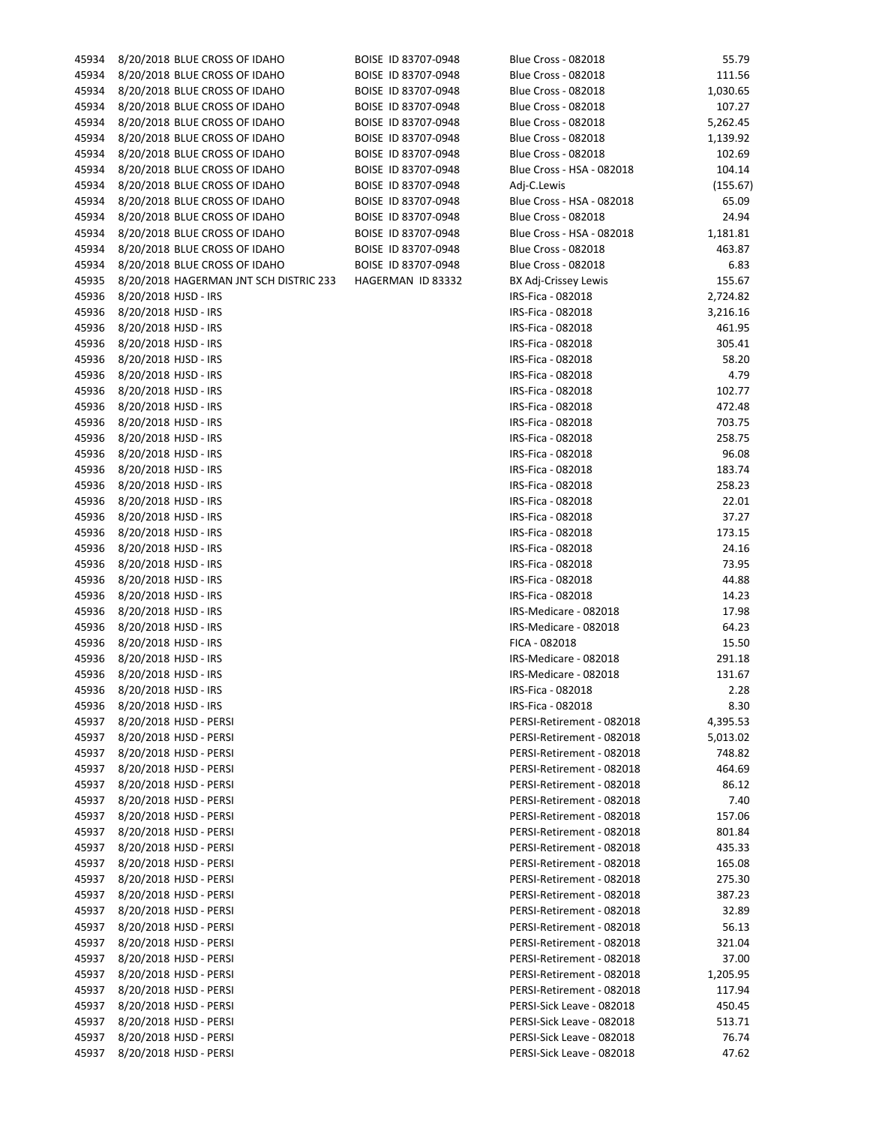| 45934 | 8/20/2018 BLUE CROSS OF IDAHO                | BOISE ID 83707-0948 | Blue Cross - 082018        | 55.79    |
|-------|----------------------------------------------|---------------------|----------------------------|----------|
| 45934 | 8/20/2018 BLUE CROSS OF IDAHO                | BOISE ID 83707-0948 | <b>Blue Cross - 082018</b> | 111.56   |
| 45934 | 8/20/2018 BLUE CROSS OF IDAHO                | BOISE ID 83707-0948 | <b>Blue Cross - 082018</b> | 1,030.65 |
| 45934 | 8/20/2018 BLUE CROSS OF IDAHO                | BOISE ID 83707-0948 | <b>Blue Cross - 082018</b> | 107.27   |
| 45934 | 8/20/2018 BLUE CROSS OF IDAHO                | BOISE ID 83707-0948 | <b>Blue Cross - 082018</b> | 5,262.45 |
| 45934 | 8/20/2018 BLUE CROSS OF IDAHO                | BOISE ID 83707-0948 | <b>Blue Cross - 082018</b> | 1,139.92 |
| 45934 | 8/20/2018 BLUE CROSS OF IDAHO                | BOISE ID 83707-0948 | <b>Blue Cross - 082018</b> | 102.69   |
| 45934 | 8/20/2018 BLUE CROSS OF IDAHO                | BOISE ID 83707-0948 | Blue Cross - HSA - 082018  | 104.14   |
| 45934 | 8/20/2018 BLUE CROSS OF IDAHO                | BOISE ID 83707-0948 | Adj-C.Lewis                | (155.67) |
| 45934 | 8/20/2018 BLUE CROSS OF IDAHO                | BOISE ID 83707-0948 | Blue Cross - HSA - 082018  | 65.09    |
| 45934 | 8/20/2018 BLUE CROSS OF IDAHO                | BOISE ID 83707-0948 | <b>Blue Cross - 082018</b> | 24.94    |
| 45934 | 8/20/2018 BLUE CROSS OF IDAHO                | BOISE ID 83707-0948 | Blue Cross - HSA - 082018  | 1,181.81 |
| 45934 | 8/20/2018 BLUE CROSS OF IDAHO                | BOISE ID 83707-0948 | <b>Blue Cross - 082018</b> | 463.87   |
| 45934 | 8/20/2018 BLUE CROSS OF IDAHO                | BOISE ID 83707-0948 | <b>Blue Cross - 082018</b> | 6.83     |
| 45935 | 8/20/2018 HAGERMAN JNT SCH DISTRIC 233       | HAGERMAN ID 83332   | BX Adj-Crissey Lewis       | 155.67   |
| 45936 | 8/20/2018 HJSD - IRS                         |                     | IRS-Fica - 082018          | 2,724.82 |
| 45936 | 8/20/2018 HJSD - IRS                         |                     | IRS-Fica - 082018          | 3,216.16 |
| 45936 | 8/20/2018 HJSD - IRS                         |                     | IRS-Fica - 082018          | 461.95   |
| 45936 | 8/20/2018 HJSD - IRS                         |                     | IRS-Fica - 082018          | 305.41   |
| 45936 | 8/20/2018 HJSD - IRS                         |                     | IRS-Fica - 082018          | 58.20    |
| 45936 | 8/20/2018 HJSD - IRS                         |                     | IRS-Fica - 082018          | 4.79     |
| 45936 | 8/20/2018 HJSD - IRS                         |                     | IRS-Fica - 082018          | 102.77   |
| 45936 | 8/20/2018 HJSD - IRS                         |                     | IRS-Fica - 082018          | 472.48   |
| 45936 | 8/20/2018 HJSD - IRS                         |                     | IRS-Fica - 082018          | 703.75   |
| 45936 | 8/20/2018 HJSD - IRS                         |                     | IRS-Fica - 082018          | 258.75   |
| 45936 | 8/20/2018 HJSD - IRS                         |                     | IRS-Fica - 082018          | 96.08    |
| 45936 | 8/20/2018 HJSD - IRS                         |                     | IRS-Fica - 082018          | 183.74   |
| 45936 | 8/20/2018 HJSD - IRS                         |                     | IRS-Fica - 082018          | 258.23   |
| 45936 | 8/20/2018 HJSD - IRS                         |                     | IRS-Fica - 082018          | 22.01    |
| 45936 | 8/20/2018 HJSD - IRS                         |                     | IRS-Fica - 082018          | 37.27    |
| 45936 |                                              |                     | IRS-Fica - 082018          | 173.15   |
| 45936 | 8/20/2018 HJSD - IRS<br>8/20/2018 HJSD - IRS |                     | IRS-Fica - 082018          | 24.16    |
|       |                                              |                     |                            | 73.95    |
| 45936 | 8/20/2018 HJSD - IRS                         |                     | IRS-Fica - 082018          |          |
| 45936 | 8/20/2018 HJSD - IRS                         |                     | IRS-Fica - 082018          | 44.88    |
| 45936 | 8/20/2018 HJSD - IRS                         |                     | IRS-Fica - 082018          | 14.23    |
| 45936 | 8/20/2018 HJSD - IRS                         |                     | IRS-Medicare - 082018      | 17.98    |
| 45936 | 8/20/2018 HJSD - IRS                         |                     | IRS-Medicare - 082018      | 64.23    |
| 45936 | 8/20/2018 HJSD - IRS                         |                     | FICA - 082018              | 15.50    |
| 45936 | 8/20/2018 HJSD - IRS                         |                     | IRS-Medicare - 082018      | 291.18   |
| 45936 | 8/20/2018 HJSD - IRS                         |                     | IRS-Medicare - 082018      | 131.67   |
| 45936 | 8/20/2018 HJSD - IRS                         |                     | IRS-Fica - 082018          | 2.28     |
| 45936 | 8/20/2018 HJSD - IRS                         |                     | IRS-Fica - 082018          | 8.30     |
| 45937 | 8/20/2018 HJSD - PERSI                       |                     | PERSI-Retirement - 082018  | 4,395.53 |
| 45937 | 8/20/2018 HJSD - PERSI                       |                     | PERSI-Retirement - 082018  | 5,013.02 |
| 45937 | 8/20/2018 HJSD - PERSI                       |                     | PERSI-Retirement - 082018  | 748.82   |
| 45937 | 8/20/2018 HJSD - PERSI                       |                     | PERSI-Retirement - 082018  | 464.69   |
| 45937 | 8/20/2018 HJSD - PERSI                       |                     | PERSI-Retirement - 082018  | 86.12    |
| 45937 | 8/20/2018 HJSD - PERSI                       |                     | PERSI-Retirement - 082018  | 7.40     |
| 45937 | 8/20/2018 HJSD - PERSI                       |                     | PERSI-Retirement - 082018  | 157.06   |
| 45937 | 8/20/2018 HJSD - PERSI                       |                     | PERSI-Retirement - 082018  | 801.84   |
| 45937 | 8/20/2018 HJSD - PERSI                       |                     | PERSI-Retirement - 082018  | 435.33   |
| 45937 | 8/20/2018 HJSD - PERSI                       |                     | PERSI-Retirement - 082018  | 165.08   |
| 45937 | 8/20/2018 HJSD - PERSI                       |                     | PERSI-Retirement - 082018  | 275.30   |
| 45937 | 8/20/2018 HJSD - PERSI                       |                     | PERSI-Retirement - 082018  | 387.23   |
| 45937 | 8/20/2018 HJSD - PERSI                       |                     | PERSI-Retirement - 082018  | 32.89    |
| 45937 | 8/20/2018 HJSD - PERSI                       |                     | PERSI-Retirement - 082018  | 56.13    |
| 45937 | 8/20/2018 HJSD - PERSI                       |                     | PERSI-Retirement - 082018  | 321.04   |
| 45937 | 8/20/2018 HJSD - PERSI                       |                     | PERSI-Retirement - 082018  | 37.00    |
| 45937 | 8/20/2018 HJSD - PERSI                       |                     | PERSI-Retirement - 082018  | 1,205.95 |
| 45937 | 8/20/2018 HJSD - PERSI                       |                     | PERSI-Retirement - 082018  | 117.94   |
| 45937 | 8/20/2018 HJSD - PERSI                       |                     | PERSI-Sick Leave - 082018  | 450.45   |
| 45937 | 8/20/2018 HJSD - PERSI                       |                     | PERSI-Sick Leave - 082018  | 513.71   |
| 45937 | 8/20/2018 HJSD - PERSI                       |                     | PERSI-Sick Leave - 082018  | 76.74    |
| 45937 | 8/20/2018 HJSD - PERSI                       |                     | PERSI-Sick Leave - 082018  | 47.62    |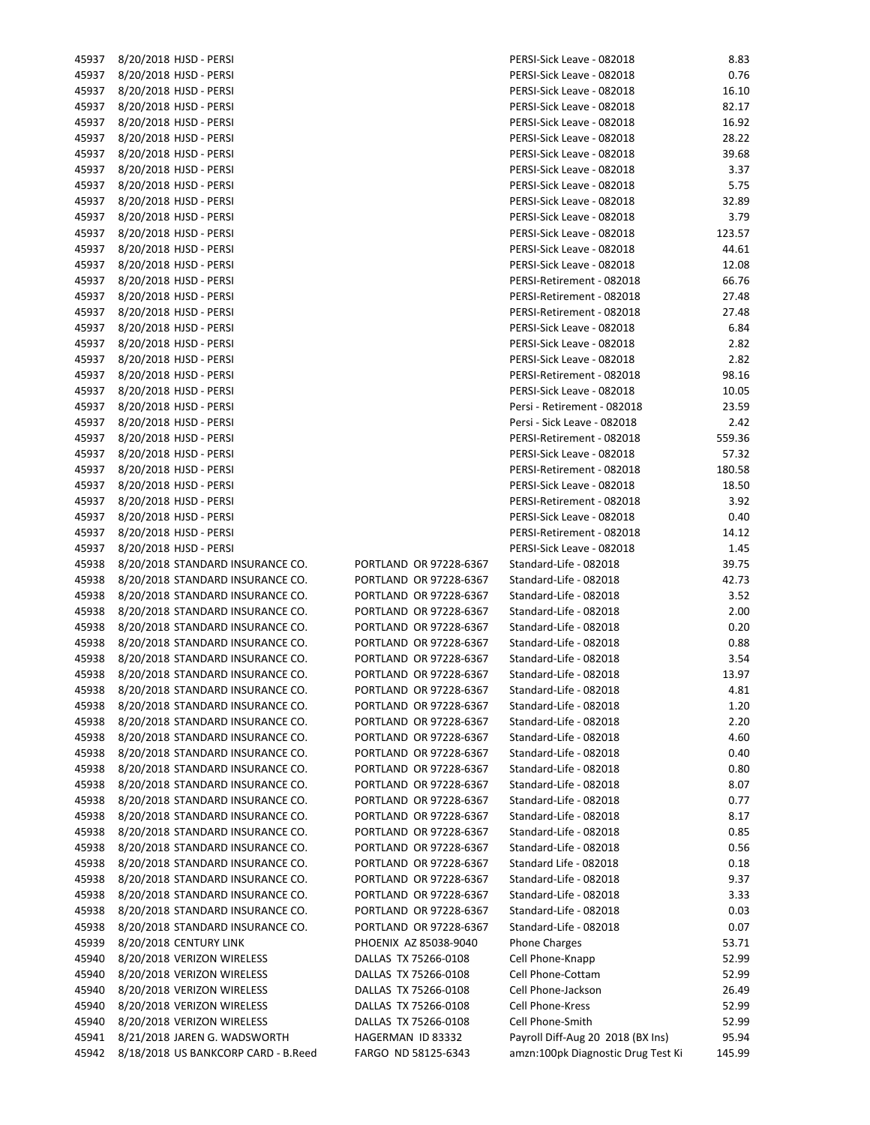| 45937          | 8/20/2018 HJSD - PERSI                                               |
|----------------|----------------------------------------------------------------------|
| 45937          | 8/20/2018 HJSD - PERSI                                               |
| 45937          | 8/20/2018 HJSD - PERSI                                               |
| 45937          | 8/20/2018 HJSD - PERSI                                               |
| 45937          | 8/20/2018 HJSD - PERSI                                               |
| 45937          | 8/20/2018 HJSD - PERSI                                               |
| 45937          | 8/20/2018 HJSD - PERSI                                               |
| 45937          | 8/20/2018 HJSD - PERSI                                               |
| 45937          | 8/20/2018 HJSD - PERSI                                               |
| 45937          | 8/20/2018 HJSD - PERSI                                               |
| 45937          | 8/20/2018 HJSD - PERSI                                               |
| 45937          | 8/20/2018 HJSD - PERSI                                               |
| 45937          | 8/20/2018 HJSD - PERSI                                               |
| 45937          | 8/20/2018 HJSD - PERSI                                               |
| 45937          | 8/20/2018 HJSD - PERSI                                               |
| 45937          | 8/20/2018 HJSD - PERSI                                               |
| 45937          | 8/20/2018 HJSD - PERSI                                               |
| 45937          | 8/20/2018 HJSD - PERSI                                               |
| 45937          | 8/20/2018 HJSD - PERSI                                               |
| 45937          | 8/20/2018 HJSD - PERSI                                               |
| 45937          | 8/20/2018 HJSD - PERSI                                               |
| 45937          | 8/20/2018 HJSD - PERSI                                               |
| 45937          | 8/20/2018 HJSD - PERSI                                               |
| 45937          | 8/20/2018 HJSD - PERSI                                               |
| 45937          | 8/20/2018 HJSD - PERSI                                               |
| 45937          | 8/20/2018 HJSD - PERSI                                               |
| 45937          | 8/20/2018 HJSD - PERSI                                               |
| 45937          | 8/20/2018 HJSD - PERSI                                               |
| 45937          | 8/20/2018 HJSD - PERSI                                               |
| 45937          | 8/20/2018 HJSD - PERSI                                               |
| 45937          | 8/20/2018 HJSD - PERSI                                               |
| 45937          | 8/20/2018 HJSD - PERSI                                               |
| 45938          | 8/20/2018 STANDARD INSURANCE CO.                                     |
| 45938          | 8/20/2018 STANDARD INSURANCE CO.                                     |
| 45938          | 8/20/2018 STANDARD INSURANCE CO.                                     |
| 45938          | 8/20/2018 STANDARD INSURANCE CO.                                     |
| 45938          | 8/20/2018 STANDARD INSURANCE CO.                                     |
| 45938          | 8/20/2018 STANDARD INSURANCE CO.                                     |
| 45938          | 8/20/2018 STANDARD INSURANCE CO.                                     |
| 45938          | 8/20/2018 STANDARD INSURANCE CO.                                     |
| 45938          | 8/20/2018 STANDARD INSURANCE CO.                                     |
| 45938          | 8/20/2018 STANDARD INSURANCE CO.                                     |
| 45938          | 8/20/2018 STANDARD INSURANCE CO.                                     |
| 45938          | 8/20/2018 STANDARD INSURANCE CO.                                     |
| 45938          | 8/20/2018 STANDARD INSURANCE CO.                                     |
| 45938<br>45938 | 8/20/2018 STANDARD INSURANCE CO.<br>8/20/2018 STANDARD INSURANCE CO. |
| 45938          |                                                                      |
| 45938          | 8/20/2018 STANDARD INSURANCE CO.<br>8/20/2018 STANDARD INSURANCE CO. |
| 45938          | 8/20/2018 STANDARD INSURANCE CO.                                     |
| 45938          | 8/20/2018 STANDARD INSURANCE CO.                                     |
| 45938          | 8/20/2018 STANDARD INSURANCE CO.                                     |
| 45938          | 8/20/2018 STANDARD INSURANCE CO.                                     |
| 45938          | 8/20/2018 STANDARD INSURANCE CO.                                     |
| 45938          | 8/20/2018 STANDARD INSURANCE CO.                                     |
| 45938          | 8/20/2018 STANDARD INSURANCE CO.                                     |
| 45939          | 8/20/2018 CENTURY LINK                                               |
| 45940          | 8/20/2018 VERIZON WIRELESS                                           |
| 45940          | 8/20/2018 VERIZON WIRELESS                                           |
| 45940          | 8/20/2018 VERIZON WIRELESS                                           |
| 45940          | 8/20/2018 VERIZON WIRELESS                                           |
| 45940          | 8/20/2018 VERIZON WIRELESS                                           |
| 45941          | 8/21/2018 JAREN G. WADSWORTH                                         |
| 45942          | 8/18/2018 US BANKCORP CARD - B.Reed                                  |
|                |                                                                      |

| 45937 | 8/20/2018 HJSD - PERSI              |                        | PERSI-Sick Leave - 082018          | 8.83   |
|-------|-------------------------------------|------------------------|------------------------------------|--------|
| 45937 | 8/20/2018 HJSD - PERSI              |                        | PERSI-Sick Leave - 082018          | 0.76   |
| 45937 | 8/20/2018 HJSD - PERSI              |                        | PERSI-Sick Leave - 082018          | 16.10  |
| 45937 | 8/20/2018 HJSD - PERSI              |                        | PERSI-Sick Leave - 082018          | 82.17  |
| 45937 | 8/20/2018 HJSD - PERSI              |                        | PERSI-Sick Leave - 082018          | 16.92  |
| 45937 | 8/20/2018 HJSD - PERSI              |                        | PERSI-Sick Leave - 082018          | 28.22  |
| 45937 | 8/20/2018 HJSD - PERSI              |                        | PERSI-Sick Leave - 082018          | 39.68  |
| 45937 | 8/20/2018 HJSD - PERSI              |                        | PERSI-Sick Leave - 082018          | 3.37   |
| 45937 | 8/20/2018 HJSD - PERSI              |                        | PERSI-Sick Leave - 082018          | 5.75   |
| 45937 | 8/20/2018 HJSD - PERSI              |                        | PERSI-Sick Leave - 082018          | 32.89  |
| 45937 | 8/20/2018 HJSD - PERSI              |                        | PERSI-Sick Leave - 082018          | 3.79   |
| 45937 | 8/20/2018 HJSD - PERSI              |                        | PERSI-Sick Leave - 082018          | 123.57 |
| 45937 | 8/20/2018 HJSD - PERSI              |                        | PERSI-Sick Leave - 082018          | 44.61  |
| 45937 | 8/20/2018 HJSD - PERSI              |                        | PERSI-Sick Leave - 082018          | 12.08  |
| 45937 | 8/20/2018 HJSD - PERSI              |                        | PERSI-Retirement - 082018          | 66.76  |
| 45937 | 8/20/2018 HJSD - PERSI              |                        | PERSI-Retirement - 082018          | 27.48  |
| 45937 | 8/20/2018 HJSD - PERSI              |                        | PERSI-Retirement - 082018          | 27.48  |
| 45937 | 8/20/2018 HJSD - PERSI              |                        | PERSI-Sick Leave - 082018          | 6.84   |
| 45937 | 8/20/2018 HJSD - PERSI              |                        | PERSI-Sick Leave - 082018          | 2.82   |
| 45937 | 8/20/2018 HJSD - PERSI              |                        | PERSI-Sick Leave - 082018          | 2.82   |
| 45937 | 8/20/2018 HJSD - PERSI              |                        | PERSI-Retirement - 082018          | 98.16  |
| 45937 | 8/20/2018 HJSD - PERSI              |                        |                                    |        |
| 45937 |                                     |                        | PERSI-Sick Leave - 082018          | 10.05  |
|       | 8/20/2018 HJSD - PERSI              |                        | Persi - Retirement - 082018        | 23.59  |
| 45937 | 8/20/2018 HJSD - PERSI              |                        | Persi - Sick Leave - 082018        | 2.42   |
| 45937 | 8/20/2018 HJSD - PERSI              |                        | PERSI-Retirement - 082018          | 559.36 |
| 45937 | 8/20/2018 HJSD - PERSI              |                        | PERSI-Sick Leave - 082018          | 57.32  |
| 45937 | 8/20/2018 HJSD - PERSI              |                        | PERSI-Retirement - 082018          | 180.58 |
| 45937 | 8/20/2018 HJSD - PERSI              |                        | PERSI-Sick Leave - 082018          | 18.50  |
| 45937 | 8/20/2018 HJSD - PERSI              |                        | PERSI-Retirement - 082018          | 3.92   |
| 45937 | 8/20/2018 HJSD - PERSI              |                        | PERSI-Sick Leave - 082018          | 0.40   |
| 45937 | 8/20/2018 HJSD - PERSI              |                        | PERSI-Retirement - 082018          | 14.12  |
| 45937 | 8/20/2018 HJSD - PERSI              |                        | PERSI-Sick Leave - 082018          | 1.45   |
| 45938 | 8/20/2018 STANDARD INSURANCE CO.    | PORTLAND OR 97228-6367 | Standard-Life - 082018             | 39.75  |
| 45938 | 8/20/2018 STANDARD INSURANCE CO.    | PORTLAND OR 97228-6367 | Standard-Life - 082018             | 42.73  |
| 45938 | 8/20/2018 STANDARD INSURANCE CO.    | PORTLAND OR 97228-6367 | Standard-Life - 082018             | 3.52   |
| 45938 | 8/20/2018 STANDARD INSURANCE CO.    | PORTLAND OR 97228-6367 | Standard-Life - 082018             | 2.00   |
| 45938 | 8/20/2018 STANDARD INSURANCE CO.    | PORTLAND OR 97228-6367 | Standard-Life - 082018             | 0.20   |
| 45938 | 8/20/2018 STANDARD INSURANCE CO.    | PORTLAND OR 97228-6367 | Standard-Life - 082018             | 0.88   |
| 45938 | 8/20/2018 STANDARD INSURANCE CO.    | PORTLAND OR 97228-6367 | Standard-Life - 082018             | 3.54   |
| 45938 | 8/20/2018 STANDARD INSURANCE CO.    | PORTLAND OR 97228-6367 | Standard-Life - 082018             | 13.97  |
| 45938 | 8/20/2018 STANDARD INSURANCE CO.    | PORTLAND OR 97228-6367 | Standard-Life - 082018             | 4.81   |
| 45938 | 8/20/2018 STANDARD INSURANCE CO.    | PORTLAND OR 97228-6367 | Standard-Life - 082018             | 1.20   |
| 45938 | 8/20/2018 STANDARD INSURANCE CO.    | PORTLAND OR 97228-6367 | Standard-Life - 082018             | 2.20   |
| 45938 | 8/20/2018 STANDARD INSURANCE CO.    | PORTLAND OR 97228-6367 | Standard-Life - 082018             | 4.60   |
| 45938 | 8/20/2018 STANDARD INSURANCE CO.    | PORTLAND OR 97228-6367 | Standard-Life - 082018             | 0.40   |
| 45938 | 8/20/2018 STANDARD INSURANCE CO.    | PORTLAND OR 97228-6367 | Standard-Life - 082018             | 0.80   |
| 45938 | 8/20/2018 STANDARD INSURANCE CO.    | PORTLAND OR 97228-6367 | Standard-Life - 082018             | 8.07   |
| 45938 | 8/20/2018 STANDARD INSURANCE CO.    | PORTLAND OR 97228-6367 | Standard-Life - 082018             | 0.77   |
| 45938 | 8/20/2018 STANDARD INSURANCE CO.    | PORTLAND OR 97228-6367 | Standard-Life - 082018             | 8.17   |
| 45938 | 8/20/2018 STANDARD INSURANCE CO.    | PORTLAND OR 97228-6367 | Standard-Life - 082018             | 0.85   |
| 45938 | 8/20/2018 STANDARD INSURANCE CO.    | PORTLAND OR 97228-6367 | Standard-Life - 082018             | 0.56   |
| 45938 | 8/20/2018 STANDARD INSURANCE CO.    | PORTLAND OR 97228-6367 | Standard Life - 082018             | 0.18   |
| 45938 | 8/20/2018 STANDARD INSURANCE CO.    | PORTLAND OR 97228-6367 | Standard-Life - 082018             | 9.37   |
| 45938 | 8/20/2018 STANDARD INSURANCE CO.    | PORTLAND OR 97228-6367 | Standard-Life - 082018             | 3.33   |
| 45938 | 8/20/2018 STANDARD INSURANCE CO.    | PORTLAND OR 97228-6367 | Standard-Life - 082018             | 0.03   |
| 45938 | 8/20/2018 STANDARD INSURANCE CO.    | PORTLAND OR 97228-6367 | Standard-Life - 082018             | 0.07   |
| 45939 | 8/20/2018 CENTURY LINK              | PHOENIX AZ 85038-9040  | <b>Phone Charges</b>               | 53.71  |
| 45940 | 8/20/2018 VERIZON WIRELESS          | DALLAS TX 75266-0108   | Cell Phone-Knapp                   | 52.99  |
| 45940 | 8/20/2018 VERIZON WIRELESS          | DALLAS TX 75266-0108   | Cell Phone-Cottam                  | 52.99  |
| 45940 | 8/20/2018 VERIZON WIRELESS          | DALLAS TX 75266-0108   | Cell Phone-Jackson                 | 26.49  |
| 45940 | 8/20/2018 VERIZON WIRELESS          | DALLAS TX 75266-0108   | Cell Phone-Kress                   | 52.99  |
| 45940 | 8/20/2018 VERIZON WIRELESS          | DALLAS TX 75266-0108   | Cell Phone-Smith                   | 52.99  |
| 45941 | 8/21/2018 JAREN G. WADSWORTH        | HAGERMAN ID 83332      | Payroll Diff-Aug 20 2018 (BX Ins)  | 95.94  |
| 45942 | 8/18/2018 US BANKCORP CARD - B.Reed | FARGO ND 58125-6343    | amzn:100pk Diagnostic Drug Test Ki | 145.99 |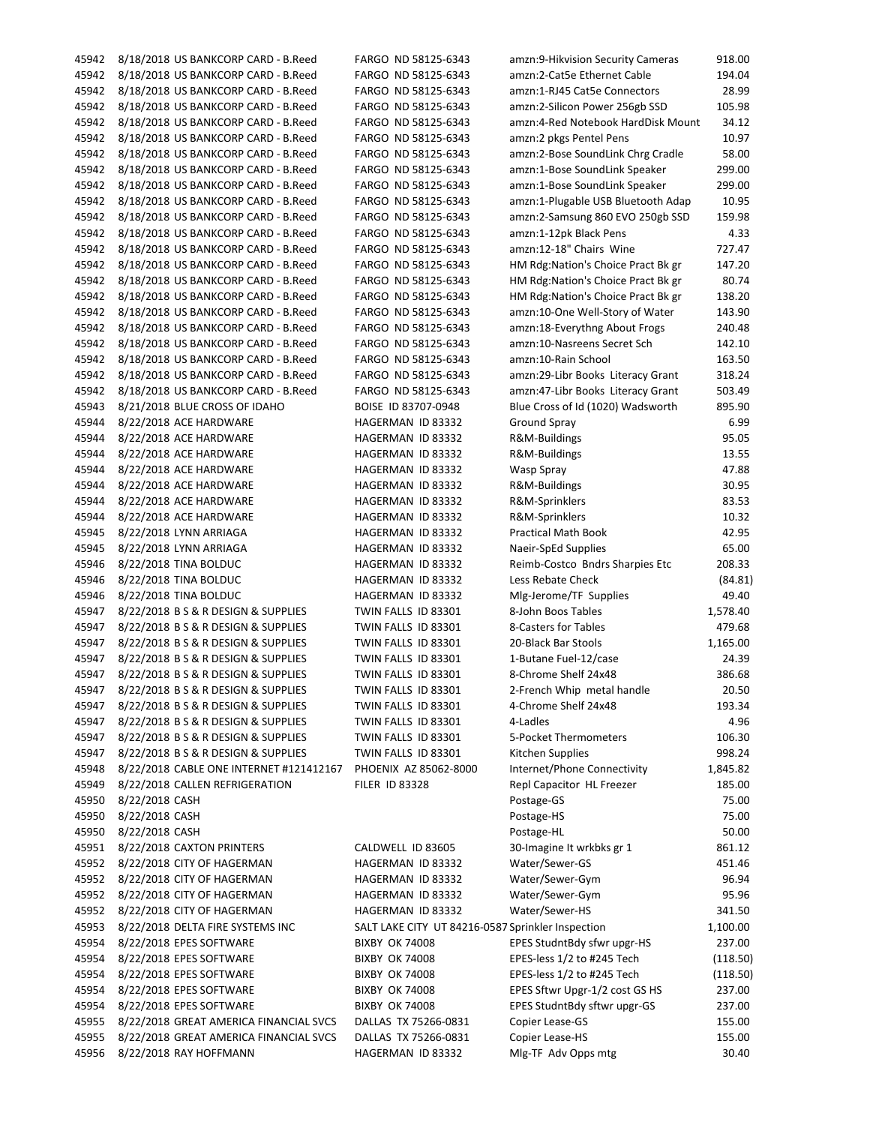| 45942 | 8/18/2018 US BANKCORP CARD - B.Reed     | FARGO ND 58125-6343                               | amzn:9-Hikvision Security Cameras  | 918.00   |
|-------|-----------------------------------------|---------------------------------------------------|------------------------------------|----------|
| 45942 | 8/18/2018 US BANKCORP CARD - B.Reed     | FARGO ND 58125-6343                               | amzn:2-Cat5e Ethernet Cable        | 194.04   |
| 45942 | 8/18/2018 US BANKCORP CARD - B.Reed     | FARGO ND 58125-6343                               | amzn:1-RJ45 Cat5e Connectors       | 28.99    |
| 45942 | 8/18/2018 US BANKCORP CARD - B.Reed     | FARGO ND 58125-6343                               | amzn:2-Silicon Power 256gb SSD     | 105.98   |
| 45942 | 8/18/2018 US BANKCORP CARD - B.Reed     | FARGO ND 58125-6343                               | amzn:4-Red Notebook HardDisk Mount | 34.12    |
| 45942 | 8/18/2018 US BANKCORP CARD - B.Reed     | FARGO ND 58125-6343                               | amzn:2 pkgs Pentel Pens            | 10.97    |
| 45942 | 8/18/2018 US BANKCORP CARD - B.Reed     | FARGO ND 58125-6343                               | amzn:2-Bose SoundLink Chrg Cradle  | 58.00    |
|       |                                         |                                                   |                                    |          |
| 45942 | 8/18/2018 US BANKCORP CARD - B.Reed     | FARGO ND 58125-6343                               | amzn:1-Bose SoundLink Speaker      | 299.00   |
| 45942 | 8/18/2018 US BANKCORP CARD - B.Reed     | FARGO ND 58125-6343                               | amzn:1-Bose SoundLink Speaker      | 299.00   |
| 45942 | 8/18/2018 US BANKCORP CARD - B.Reed     | FARGO ND 58125-6343                               | amzn:1-Plugable USB Bluetooth Adap | 10.95    |
| 45942 | 8/18/2018 US BANKCORP CARD - B.Reed     | FARGO ND 58125-6343                               | amzn:2-Samsung 860 EVO 250gb SSD   | 159.98   |
| 45942 | 8/18/2018 US BANKCORP CARD - B.Reed     | FARGO ND 58125-6343                               | amzn:1-12pk Black Pens             | 4.33     |
| 45942 | 8/18/2018 US BANKCORP CARD - B.Reed     | FARGO ND 58125-6343                               | amzn:12-18" Chairs Wine            | 727.47   |
| 45942 | 8/18/2018 US BANKCORP CARD - B.Reed     | FARGO ND 58125-6343                               | HM Rdg:Nation's Choice Pract Bk gr | 147.20   |
| 45942 | 8/18/2018 US BANKCORP CARD - B.Reed     | FARGO ND 58125-6343                               | HM Rdg:Nation's Choice Pract Bk gr | 80.74    |
| 45942 | 8/18/2018 US BANKCORP CARD - B.Reed     | FARGO ND 58125-6343                               | HM Rdg:Nation's Choice Pract Bk gr | 138.20   |
| 45942 | 8/18/2018 US BANKCORP CARD - B.Reed     | FARGO ND 58125-6343                               | amzn:10-One Well-Story of Water    | 143.90   |
| 45942 |                                         |                                                   | amzn:18-Everythng About Frogs      | 240.48   |
|       | 8/18/2018 US BANKCORP CARD - B.Reed     | FARGO ND 58125-6343                               |                                    |          |
| 45942 | 8/18/2018 US BANKCORP CARD - B.Reed     | FARGO ND 58125-6343                               | amzn:10-Nasreens Secret Sch        | 142.10   |
| 45942 | 8/18/2018 US BANKCORP CARD - B.Reed     | FARGO ND 58125-6343                               | amzn:10-Rain School                | 163.50   |
| 45942 | 8/18/2018 US BANKCORP CARD - B.Reed     | FARGO ND 58125-6343                               | amzn:29-Libr Books Literacy Grant  | 318.24   |
| 45942 | 8/18/2018 US BANKCORP CARD - B.Reed     | FARGO ND 58125-6343                               | amzn:47-Libr Books Literacy Grant  | 503.49   |
| 45943 | 8/21/2018 BLUE CROSS OF IDAHO           | BOISE ID 83707-0948                               | Blue Cross of Id (1020) Wadsworth  | 895.90   |
| 45944 | 8/22/2018 ACE HARDWARE                  | HAGERMAN ID 83332                                 | <b>Ground Spray</b>                | 6.99     |
| 45944 | 8/22/2018 ACE HARDWARE                  | HAGERMAN ID 83332                                 | R&M-Buildings                      | 95.05    |
| 45944 | 8/22/2018 ACE HARDWARE                  | HAGERMAN ID 83332                                 | R&M-Buildings                      | 13.55    |
| 45944 | 8/22/2018 ACE HARDWARE                  | HAGERMAN ID 83332                                 | Wasp Spray                         | 47.88    |
| 45944 | 8/22/2018 ACE HARDWARE                  | HAGERMAN ID 83332                                 |                                    | 30.95    |
|       |                                         |                                                   | R&M-Buildings                      |          |
| 45944 | 8/22/2018 ACE HARDWARE                  | HAGERMAN ID 83332                                 | R&M-Sprinklers                     | 83.53    |
| 45944 | 8/22/2018 ACE HARDWARE                  | HAGERMAN ID 83332                                 | R&M-Sprinklers                     | 10.32    |
| 45945 | 8/22/2018 LYNN ARRIAGA                  | HAGERMAN ID 83332                                 | Practical Math Book                | 42.95    |
| 45945 | 8/22/2018 LYNN ARRIAGA                  | HAGERMAN ID 83332                                 | Naeir-SpEd Supplies                | 65.00    |
| 45946 | 8/22/2018 TINA BOLDUC                   | HAGERMAN ID 83332                                 | Reimb-Costco Bndrs Sharpies Etc    | 208.33   |
| 45946 | 8/22/2018 TINA BOLDUC                   | HAGERMAN ID 83332                                 | Less Rebate Check                  | (84.81)  |
| 45946 | 8/22/2018 TINA BOLDUC                   | HAGERMAN ID 83332                                 | Mlg-Jerome/TF Supplies             | 49.40    |
| 45947 | 8/22/2018 B S & R DESIGN & SUPPLIES     | TWIN FALLS ID 83301                               | 8-John Boos Tables                 | 1,578.40 |
| 45947 | 8/22/2018 B S & R DESIGN & SUPPLIES     | TWIN FALLS ID 83301                               | 8-Casters for Tables               | 479.68   |
| 45947 | 8/22/2018 B S & R DESIGN & SUPPLIES     | TWIN FALLS ID 83301                               | 20-Black Bar Stools                | 1,165.00 |
| 45947 | 8/22/2018 B S & R DESIGN & SUPPLIES     | TWIN FALLS ID 83301                               | 1-Butane Fuel-12/case              | 24.39    |
|       |                                         |                                                   |                                    |          |
| 45947 | 8/22/2018 B S & R DESIGN & SUPPLIES     | TWIN FALLS ID 83301                               | 8-Chrome Shelf 24x48               | 386.68   |
| 45947 | 8/22/2018 B S & R DESIGN & SUPPLIES     | TWIN FALLS ID 83301                               | 2-French Whip metal handle         | 20.50    |
| 45947 | 8/22/2018 B S & R DESIGN & SUPPLIES     | TWIN FALLS ID 83301                               | 4-Chrome Shelf 24x48               | 193.34   |
| 45947 | 8/22/2018 B S & R DESIGN & SUPPLIES     | TWIN FALLS ID 83301                               | 4-Ladles                           | 4.96     |
| 45947 | 8/22/2018 B S & R DESIGN & SUPPLIES     | TWIN FALLS ID 83301                               | 5-Pocket Thermometers              | 106.30   |
| 45947 | 8/22/2018 B S & R DESIGN & SUPPLIES     | TWIN FALLS ID 83301                               | Kitchen Supplies                   | 998.24   |
| 45948 | 8/22/2018 CABLE ONE INTERNET #121412167 | PHOENIX AZ 85062-8000                             | Internet/Phone Connectivity        | 1,845.82 |
| 45949 | 8/22/2018 CALLEN REFRIGERATION          | <b>FILER ID 83328</b>                             | Repl Capacitor HL Freezer          | 185.00   |
| 45950 | 8/22/2018 CASH                          |                                                   | Postage-GS                         | 75.00    |
| 45950 | 8/22/2018 CASH                          |                                                   | Postage-HS                         | 75.00    |
| 45950 | 8/22/2018 CASH                          |                                                   |                                    | 50.00    |
|       |                                         |                                                   | Postage-HL                         |          |
| 45951 | 8/22/2018 CAXTON PRINTERS               | CALDWELL ID 83605                                 | 30-Imagine It wrkbks gr 1          | 861.12   |
| 45952 | 8/22/2018 CITY OF HAGERMAN              | HAGERMAN ID 83332                                 | Water/Sewer-GS                     | 451.46   |
| 45952 | 8/22/2018 CITY OF HAGERMAN              | HAGERMAN ID 83332                                 | Water/Sewer-Gym                    | 96.94    |
| 45952 | 8/22/2018 CITY OF HAGERMAN              | HAGERMAN ID 83332                                 | Water/Sewer-Gym                    | 95.96    |
| 45952 | 8/22/2018 CITY OF HAGERMAN              | HAGERMAN ID 83332                                 | Water/Sewer-HS                     | 341.50   |
| 45953 | 8/22/2018 DELTA FIRE SYSTEMS INC        | SALT LAKE CITY UT 84216-0587 Sprinkler Inspection |                                    | 1,100.00 |
| 45954 | 8/22/2018 EPES SOFTWARE                 | <b>BIXBY OK 74008</b>                             | EPES StudntBdy sfwr upgr-HS        | 237.00   |
| 45954 | 8/22/2018 EPES SOFTWARE                 | <b>BIXBY OK 74008</b>                             | EPES-less 1/2 to #245 Tech         | (118.50) |
| 45954 | 8/22/2018 EPES SOFTWARE                 | <b>BIXBY OK 74008</b>                             | EPES-less 1/2 to #245 Tech         | (118.50) |
| 45954 | 8/22/2018 EPES SOFTWARE                 | <b>BIXBY OK 74008</b>                             | EPES Sftwr Upgr-1/2 cost GS HS     | 237.00   |
| 45954 | 8/22/2018 EPES SOFTWARE                 | <b>BIXBY OK 74008</b>                             | EPES StudntBdy sftwr upgr-GS       | 237.00   |
|       |                                         |                                                   |                                    |          |
| 45955 | 8/22/2018 GREAT AMERICA FINANCIAL SVCS  | DALLAS TX 75266-0831                              | Copier Lease-GS                    | 155.00   |
| 45955 | 8/22/2018 GREAT AMERICA FINANCIAL SVCS  | DALLAS TX 75266-0831                              | Copier Lease-HS                    | 155.00   |
| 45956 | 8/22/2018 RAY HOFFMANN                  | HAGERMAN ID 83332                                 | Mlg-TF Adv Opps mtg                | 30.40    |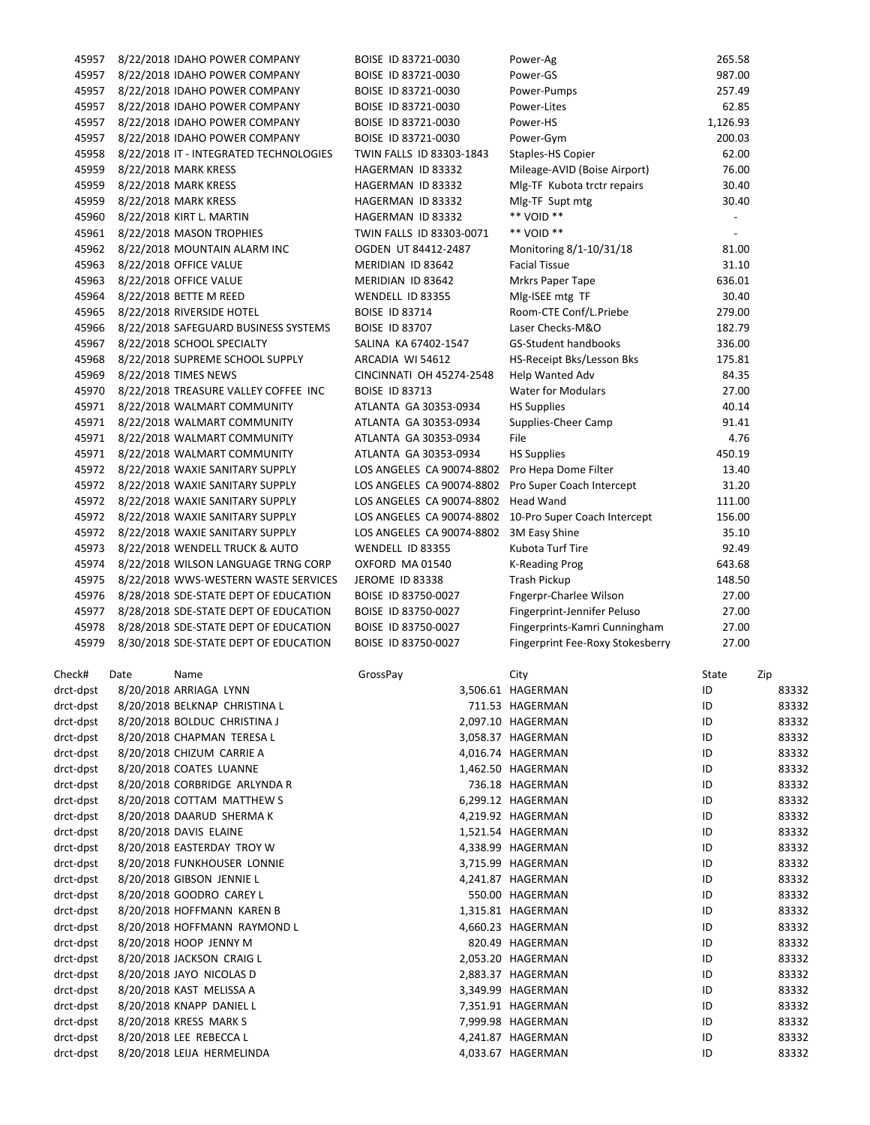| 45957     |      | 8/22/2018 IDAHO POWER COMPANY          | BOISE ID 83721-0030                                    | Power-Ag                         | 265.58                   |       |
|-----------|------|----------------------------------------|--------------------------------------------------------|----------------------------------|--------------------------|-------|
| 45957     |      | 8/22/2018 IDAHO POWER COMPANY          | BOISE ID 83721-0030                                    | Power-GS                         | 987.00                   |       |
| 45957     |      | 8/22/2018 IDAHO POWER COMPANY          | BOISE ID 83721-0030                                    | Power-Pumps                      | 257.49                   |       |
| 45957     |      | 8/22/2018 IDAHO POWER COMPANY          | BOISE ID 83721-0030                                    | Power-Lites                      | 62.85                    |       |
| 45957     |      | 8/22/2018 IDAHO POWER COMPANY          | BOISE ID 83721-0030                                    | Power-HS                         | 1,126.93                 |       |
| 45957     |      | 8/22/2018 IDAHO POWER COMPANY          | BOISE ID 83721-0030                                    | Power-Gym                        | 200.03                   |       |
| 45958     |      | 8/22/2018 IT - INTEGRATED TECHNOLOGIES | TWIN FALLS ID 83303-1843                               | Staples-HS Copier                | 62.00                    |       |
| 45959     |      | 8/22/2018 MARK KRESS                   | HAGERMAN ID 83332                                      | Mileage-AVID (Boise Airport)     | 76.00                    |       |
| 45959     |      | 8/22/2018 MARK KRESS                   | HAGERMAN ID 83332                                      | Mlg-TF Kubota trctr repairs      | 30.40                    |       |
| 45959     |      | 8/22/2018 MARK KRESS                   | HAGERMAN ID 83332                                      | Mlg-TF Supt mtg                  | 30.40                    |       |
| 45960     |      | 8/22/2018 KIRT L. MARTIN               | HAGERMAN ID 83332                                      | ** VOID **                       | $\overline{\phantom{a}}$ |       |
| 45961     |      | 8/22/2018 MASON TROPHIES               |                                                        | ** VOID **                       |                          |       |
|           |      |                                        | TWIN FALLS ID 83303-0071                               |                                  |                          |       |
| 45962     |      | 8/22/2018 MOUNTAIN ALARM INC           | OGDEN UT 84412-2487                                    | Monitoring 8/1-10/31/18          | 81.00                    |       |
| 45963     |      | 8/22/2018 OFFICE VALUE                 | MERIDIAN ID 83642                                      | <b>Facial Tissue</b>             | 31.10                    |       |
| 45963     |      | 8/22/2018 OFFICE VALUE                 | MERIDIAN ID 83642                                      | Mrkrs Paper Tape                 | 636.01                   |       |
| 45964     |      | 8/22/2018 BETTE M REED                 | WENDELL ID 83355                                       | Mlg-ISEE mtg TF                  | 30.40                    |       |
| 45965     |      | 8/22/2018 RIVERSIDE HOTEL              | <b>BOISE ID 83714</b>                                  | Room-CTE Conf/L.Priebe           | 279.00                   |       |
| 45966     |      | 8/22/2018 SAFEGUARD BUSINESS SYSTEMS   | <b>BOISE ID 83707</b>                                  | Laser Checks-M&O                 | 182.79                   |       |
| 45967     |      | 8/22/2018 SCHOOL SPECIALTY             | SALINA KA 67402-1547                                   | GS-Student handbooks             | 336.00                   |       |
| 45968     |      | 8/22/2018 SUPREME SCHOOL SUPPLY        | ARCADIA WI 54612                                       | HS-Receipt Bks/Lesson Bks        | 175.81                   |       |
| 45969     |      | 8/22/2018 TIMES NEWS                   | CINCINNATI OH 45274-2548                               | Help Wanted Adv                  | 84.35                    |       |
| 45970     |      | 8/22/2018 TREASURE VALLEY COFFEE INC   | <b>BOISE ID 83713</b>                                  | <b>Water for Modulars</b>        | 27.00                    |       |
| 45971     |      | 8/22/2018 WALMART COMMUNITY            | ATLANTA GA 30353-0934                                  | <b>HS Supplies</b>               | 40.14                    |       |
| 45971     |      | 8/22/2018 WALMART COMMUNITY            | ATLANTA GA 30353-0934                                  | Supplies-Cheer Camp              | 91.41                    |       |
| 45971     |      | 8/22/2018 WALMART COMMUNITY            | ATLANTA GA 30353-0934                                  | File                             | 4.76                     |       |
|           |      | 45971 8/22/2018 WALMART COMMUNITY      | ATLANTA GA 30353-0934                                  | <b>HS Supplies</b>               | 450.19                   |       |
|           |      | 45972 8/22/2018 WAXIE SANITARY SUPPLY  | LOS ANGELES CA 90074-8802 Pro Hepa Dome Filter         |                                  | 13.40                    |       |
| 45972     |      | 8/22/2018 WAXIE SANITARY SUPPLY        | LOS ANGELES CA 90074-8802 Pro Super Coach Intercept    |                                  | 31.20                    |       |
| 45972     |      | 8/22/2018 WAXIE SANITARY SUPPLY        | LOS ANGELES CA 90074-8802 Head Wand                    |                                  | 111.00                   |       |
| 45972     |      | 8/22/2018 WAXIE SANITARY SUPPLY        | LOS ANGELES CA 90074-8802 10-Pro Super Coach Intercept |                                  | 156.00                   |       |
| 45972     |      |                                        |                                                        |                                  | 35.10                    |       |
|           |      | 8/22/2018 WAXIE SANITARY SUPPLY        | LOS ANGELES CA 90074-8802 3M Easy Shine                |                                  |                          |       |
| 45973     |      | 8/22/2018 WENDELL TRUCK & AUTO         | WENDELL ID 83355                                       | Kubota Turf Tire                 | 92.49                    |       |
| 45974     |      | 8/22/2018 WILSON LANGUAGE TRNG CORP    | OXFORD MA 01540                                        | <b>K-Reading Prog</b>            | 643.68                   |       |
| 45975     |      | 8/22/2018 WWS-WESTERN WASTE SERVICES   | JEROME ID 83338                                        | Trash Pickup                     | 148.50                   |       |
| 45976     |      | 8/28/2018 SDE-STATE DEPT OF EDUCATION  | BOISE ID 83750-0027                                    | Fngerpr-Charlee Wilson           | 27.00                    |       |
| 45977     |      | 8/28/2018 SDE-STATE DEPT OF EDUCATION  | BOISE ID 83750-0027                                    | Fingerprint-Jennifer Peluso      | 27.00                    |       |
| 45978     |      | 8/28/2018 SDE-STATE DEPT OF EDUCATION  | BOISE ID 83750-0027                                    | Fingerprints-Kamri Cunningham    | 27.00                    |       |
| 45979     |      | 8/30/2018 SDE-STATE DEPT OF EDUCATION  | BOISE ID 83750-0027                                    | Fingerprint Fee-Roxy Stokesberry | 27.00                    |       |
| Check#    | Date | Name                                   | GrossPay                                               | City                             | State                    | Zip   |
| drct-dpst |      | 8/20/2018 ARRIAGA LYNN                 |                                                        | 3,506.61 HAGERMAN                | ID                       | 83332 |
| drct-dpst |      | 8/20/2018 BELKNAP CHRISTINA L          |                                                        | 711.53 HAGERMAN                  | ID                       | 83332 |
| drct-dpst |      | 8/20/2018 BOLDUC CHRISTINA J           |                                                        | 2,097.10 HAGERMAN                | ID                       | 83332 |
| drct-dpst |      | 8/20/2018 CHAPMAN TERESA L             |                                                        | 3,058.37 HAGERMAN                | ID                       | 83332 |
| drct-dpst |      | 8/20/2018 CHIZUM CARRIE A              |                                                        | 4,016.74 HAGERMAN                | ID                       | 83332 |
| drct-dpst |      | 8/20/2018 COATES LUANNE                |                                                        | 1,462.50 HAGERMAN                | ID                       | 83332 |
| drct-dpst |      | 8/20/2018 CORBRIDGE ARLYNDA R          |                                                        | 736.18 HAGERMAN                  | ID                       | 83332 |
| drct-dpst |      | 8/20/2018 COTTAM MATTHEW S             |                                                        | 6,299.12 HAGERMAN                | ID                       | 83332 |
| drct-dpst |      | 8/20/2018 DAARUD SHERMA K              |                                                        | 4,219.92 HAGERMAN                | ID                       | 83332 |
| drct-dpst |      | 8/20/2018 DAVIS ELAINE                 |                                                        |                                  |                          | 83332 |
|           |      |                                        |                                                        | 1,521.54 HAGERMAN                | ID                       |       |
| drct-dpst |      | 8/20/2018 EASTERDAY TROY W             |                                                        | 4,338.99 HAGERMAN                | ID                       | 83332 |
| drct-dpst |      | 8/20/2018 FUNKHOUSER LONNIE            |                                                        | 3,715.99 HAGERMAN                | ID                       | 83332 |
| drct-dpst |      | 8/20/2018 GIBSON JENNIE L              |                                                        | 4,241.87 HAGERMAN                | ID                       | 83332 |
| drct-dpst |      | 8/20/2018 GOODRO CAREY L               |                                                        | 550.00 HAGERMAN                  | ID                       | 83332 |
| drct-dpst |      | 8/20/2018 HOFFMANN KAREN B             |                                                        | 1,315.81 HAGERMAN                | ID                       | 83332 |
| drct-dpst |      | 8/20/2018 HOFFMANN RAYMOND L           |                                                        | 4,660.23 HAGERMAN                | ID                       | 83332 |
| drct-dpst |      | 8/20/2018 HOOP JENNY M                 |                                                        | 820.49 HAGERMAN                  | ID                       | 83332 |
| drct-dpst |      | 8/20/2018 JACKSON CRAIG L              |                                                        | 2,053.20 HAGERMAN                | ID                       | 83332 |
| drct-dpst |      | 8/20/2018 JAYO NICOLAS D               |                                                        | 2,883.37 HAGERMAN                | ID                       | 83332 |
| drct-dpst |      | 8/20/2018 KAST MELISSA A               |                                                        | 3,349.99 HAGERMAN                | ID                       | 83332 |
| drct-dpst |      | 8/20/2018 KNAPP DANIEL L               |                                                        | 7,351.91 HAGERMAN                | ID                       | 83332 |
| drct-dpst |      | 8/20/2018 KRESS MARK S                 |                                                        | 7,999.98 HAGERMAN                | ID                       | 83332 |
| drct-dpst |      | 8/20/2018 LEE REBECCA L                |                                                        | 4,241.87 HAGERMAN                | ID                       | 83332 |
| drct-dpst |      | 8/20/2018 LEIJA HERMELINDA             |                                                        | 4,033.67 HAGERMAN                | ID                       | 83332 |
|           |      |                                        |                                                        |                                  |                          |       |